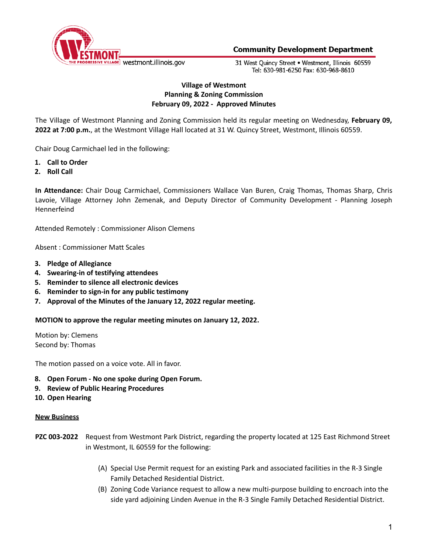

31 West Ouincy Street . Westmont, Illinois 60559 Tel: 630-981-6250 Fax: 630-968-8610

# **Village of Westmont Planning & Zoning Commission February 09, 2022 - Approved Minutes**

The Village of Westmont Planning and Zoning Commission held its regular meeting on Wednesday, **February 09, 2022 at 7:00 p.m.**, at the Westmont Village Hall located at 31 W. Quincy Street, Westmont, Illinois 60559.

Chair Doug Carmichael led in the following:

- **1. Call to Order**
- **2. Roll Call**

**In Attendance:** Chair Doug Carmichael, Commissioners Wallace Van Buren, Craig Thomas, Thomas Sharp, Chris Lavoie, Village Attorney John Zemenak, and Deputy Director of Community Development - Planning Joseph Hennerfeind

Attended Remotely : Commissioner Alison Clemens

Absent : Commissioner Matt Scales

- **3. Pledge of Allegiance**
- **4. Swearing-in of testifying attendees**
- **5. Reminder to silence all electronic devices**
- **6. Reminder to sign-in for any public testimony**
- **7. Approval of the Minutes of the January 12, 2022 regular meeting.**

**MOTION to approve the regular meeting minutes on January 12, 2022.**

Motion by: Clemens Second by: Thomas

The motion passed on a voice vote. All in favor.

- **8. Open Forum - No one spoke during Open Forum.**
- **9. Review of Public Hearing Procedures**
- **10. Open Hearing**

### **New Business**

- **PZC 003-2022** Request from Westmont Park District, regarding the property located at 125 East Richmond Street in Westmont, IL 60559 for the following:
	- (A) Special Use Permit request for an existing Park and associated facilities in the R-3 Single Family Detached Residential District.
	- (B) Zoning Code Variance request to allow a new multi-purpose building to encroach into the side yard adjoining Linden Avenue in the R-3 Single Family Detached Residential District.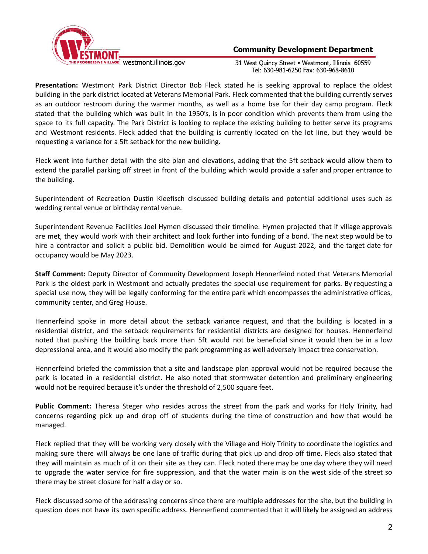

31 West Quincy Street . Westmont, Illinois 60559 Tel: 630-981-6250 Fax: 630-968-8610

**Presentation:** Westmont Park District Director Bob Fleck stated he is seeking approval to replace the oldest building in the park district located at Veterans Memorial Park. Fleck commented that the building currently serves as an outdoor restroom during the warmer months, as well as a home bse for their day camp program. Fleck stated that the building which was built in the 1950's, is in poor condition which prevents them from using the space to its full capacity. The Park District is looking to replace the existing building to better serve its programs and Westmont residents. Fleck added that the building is currently located on the lot line, but they would be requesting a variance for a 5ft setback for the new building.

Fleck went into further detail with the site plan and elevations, adding that the 5ft setback would allow them to extend the parallel parking off street in front of the building which would provide a safer and proper entrance to the building.

Superintendent of Recreation Dustin Kleefisch discussed building details and potential additional uses such as wedding rental venue or birthday rental venue.

Superintendent Revenue Facilities Joel Hymen discussed their timeline. Hymen projected that if village approvals are met, they would work with their architect and look further into funding of a bond. The next step would be to hire a contractor and solicit a public bid. Demolition would be aimed for August 2022, and the target date for occupancy would be May 2023.

**Staff Comment:** Deputy Director of Community Development Joseph Hennerfeind noted that Veterans Memorial Park is the oldest park in Westmont and actually predates the special use requirement for parks. By requesting a special use now, they will be legally conforming for the entire park which encompasses the administrative offices, community center, and Greg House.

Hennerfeind spoke in more detail about the setback variance request, and that the building is located in a residential district, and the setback requirements for residential districts are designed for houses. Hennerfeind noted that pushing the building back more than 5ft would not be beneficial since it would then be in a low depressional area, and it would also modify the park programming as well adversely impact tree conservation.

Hennerfeind briefed the commission that a site and landscape plan approval would not be required because the park is located in a residential district. He also noted that stormwater detention and preliminary engineering would not be required because it's under the threshold of 2,500 square feet.

**Public Comment:** Theresa Steger who resides across the street from the park and works for Holy Trinity, had concerns regarding pick up and drop off of students during the time of construction and how that would be managed.

Fleck replied that they will be working very closely with the Village and Holy Trinity to coordinate the logistics and making sure there will always be one lane of traffic during that pick up and drop off time. Fleck also stated that they will maintain as much of it on their site as they can. Fleck noted there may be one day where they will need to upgrade the water service for fire suppression, and that the water main is on the west side of the street so there may be street closure for half a day or so.

Fleck discussed some of the addressing concerns since there are multiple addresses for the site, but the building in question does not have its own specific address. Hennerfiend commented that it will likely be assigned an address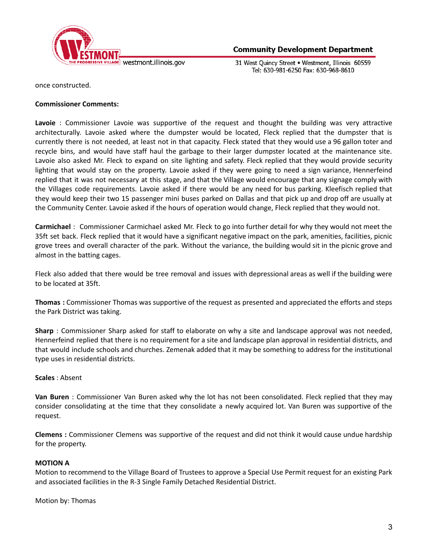

31 West Quincy Street . Westmont, Illinois 60559 Tel: 630-981-6250 Fax: 630-968-8610

once constructed.

### **Commissioner Comments:**

**Lavoie** : Commissioner Lavoie was supportive of the request and thought the building was very attractive architecturally. Lavoie asked where the dumpster would be located, Fleck replied that the dumpster that is currently there is not needed, at least not in that capacity. Fleck stated that they would use a 96 gallon toter and recycle bins, and would have staff haul the garbage to their larger dumpster located at the maintenance site. Lavoie also asked Mr. Fleck to expand on site lighting and safety. Fleck replied that they would provide security lighting that would stay on the property. Lavoie asked if they were going to need a sign variance, Hennerfeind replied that it was not necessary at this stage, and that the Village would encourage that any signage comply with the Villages code requirements. Lavoie asked if there would be any need for bus parking. Kleefisch replied that they would keep their two 15 passenger mini buses parked on Dallas and that pick up and drop off are usually at the Community Center. Lavoie asked if the hours of operation would change, Fleck replied that they would not.

**Carmichael** : Commissioner Carmichael asked Mr. Fleck to go into further detail for why they would not meet the 35ft set back. Fleck replied that it would have a significant negative impact on the park, amenities, facilities, picnic grove trees and overall character of the park. Without the variance, the building would sit in the picnic grove and almost in the batting cages.

Fleck also added that there would be tree removal and issues with depressional areas as well if the building were to be located at 35ft.

**Thomas :** Commissioner Thomas was supportive of the request as presented and appreciated the efforts and steps the Park District was taking.

**Sharp** : Commissioner Sharp asked for staff to elaborate on why a site and landscape approval was not needed, Hennerfeind replied that there is no requirement for a site and landscape plan approval in residential districts, and that would include schools and churches. Zemenak added that it may be something to address for the institutional type uses in residential districts.

### **Scales** : Absent

**Van Buren** : Commissioner Van Buren asked why the lot has not been consolidated. Fleck replied that they may consider consolidating at the time that they consolidate a newly acquired lot. Van Buren was supportive of the request.

**Clemens :** Commissioner Clemens was supportive of the request and did not think it would cause undue hardship for the property.

### **MOTION A**

Motion to recommend to the Village Board of Trustees to approve a Special Use Permit request for an existing Park and associated facilities in the R-3 Single Family Detached Residential District.

Motion by: Thomas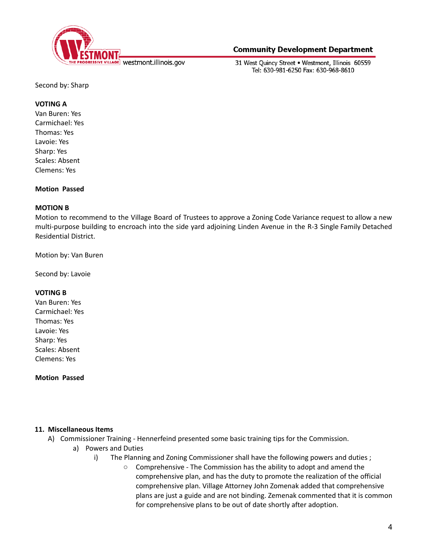

31 West Ouincy Street . Westmont, Illinois 60559 Tel: 630-981-6250 Fax: 630-968-8610

Second by: Sharp

### **VOTING A**

Van Buren: Yes Carmichael: Yes Thomas: Yes Lavoie: Yes Sharp: Yes Scales: Absent Clemens: Yes

### **Motion Passed**

### **MOTION B**

Motion to recommend to the Village Board of Trustees to approve a Zoning Code Variance request to allow a new multi-purpose building to encroach into the side yard adjoining Linden Avenue in the R-3 Single Family Detached Residential District.

Motion by: Van Buren

Second by: Lavoie

### **VOTING B**

Van Buren: Yes Carmichael: Yes Thomas: Yes Lavoie: Yes Sharp: Yes Scales: Absent Clemens: Yes

**Motion Passed**

### **11. Miscellaneous Items**

- A) Commissioner Training Hennerfeind presented some basic training tips for the Commission.
	- a) Powers and Duties
		- i) The Planning and Zoning Commissioner shall have the following powers and duties ;
			- Comprehensive The Commission has the ability to adopt and amend the comprehensive plan, and has the duty to promote the realization of the official comprehensive plan. Village Attorney John Zomenak added that comprehensive plans are just a guide and are not binding. Zemenak commented that it is common for comprehensive plans to be out of date shortly after adoption.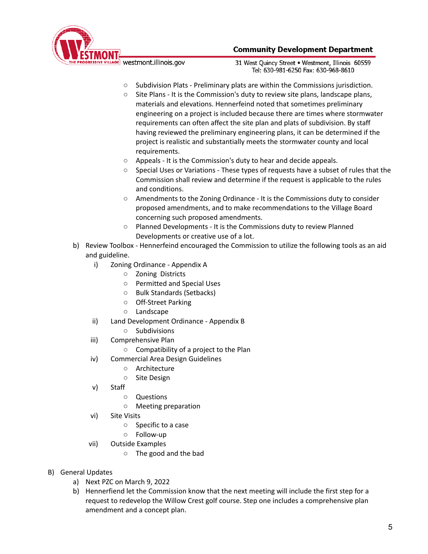

31 West Ouincy Street . Westmont, Illinois 60559 Tel: 630-981-6250 Fax: 630-968-8610

- Subdivision Plats Preliminary plats are within the Commissions jurisdiction.
- Site Plans It is the Commission's duty to review site plans, landscape plans, materials and elevations. Hennerfeind noted that sometimes preliminary engineering on a project is included because there are times where stormwater requirements can often affect the site plan and plats of subdivision. By staff having reviewed the preliminary engineering plans, it can be determined if the project is realistic and substantially meets the stormwater county and local requirements.
- Appeals It is the Commission's duty to hear and decide appeals.
- Special Uses or Variations These types of requests have a subset of rules that the Commission shall review and determine if the request is applicable to the rules and conditions.
- Amendments to the Zoning Ordinance It is the Commissions duty to consider proposed amendments, and to make recommendations to the Village Board concerning such proposed amendments.
- Planned Developments It is the Commissions duty to review Planned Developments or creative use of a lot.
- b) Review Toolbox Hennerfeind encouraged the Commission to utilize the following tools as an aid and guideline.
	- i) Zoning Ordinance Appendix A
		- Zoning Districts
		- Permitted and Special Uses
		- Bulk Standards (Setbacks)
		- Off-Street Parking
		- Landscape
	- ii) Land Development Ordinance Appendix B
		- Subdivisions
	- iii) Comprehensive Plan
		- Compatibility of a project to the Plan
	- iv) Commercial Area Design Guidelines
		- Architecture
		- Site Design
	- v) Staff
		- Questions
		- Meeting preparation
	- vi) Site Visits
		- Specific to a case
		- Follow-up
	- vii) Outside Examples
		- The good and the bad
- B) General Updates
	- a) Next PZC on March 9, 2022
	- b) Hennerfiend let the Commission know that the next meeting will include the first step for a request to redevelop the Willow Crest golf course. Step one includes a comprehensive plan amendment and a concept plan.